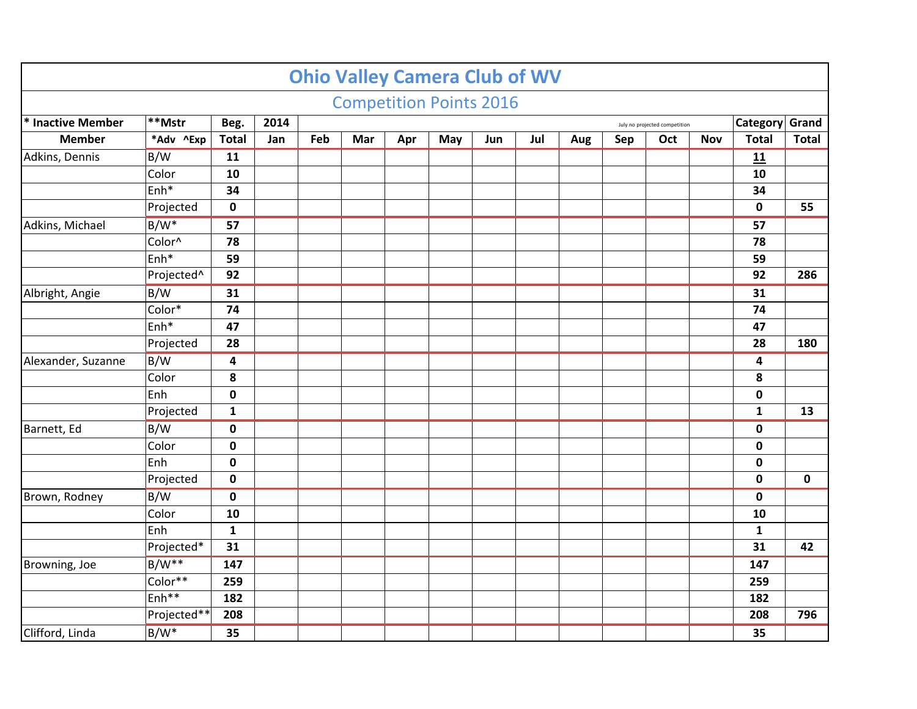|                    |                   |                         |      |     | <b>Competition Points 2016</b> |     |     |     |     |     |     |                               |            |                |                                                                              |
|--------------------|-------------------|-------------------------|------|-----|--------------------------------|-----|-----|-----|-----|-----|-----|-------------------------------|------------|----------------|------------------------------------------------------------------------------|
| * Inactive Member  | **Mstr            | Beg.                    | 2014 |     |                                |     |     |     |     |     |     | July no projected competition |            | Category Grand |                                                                              |
| <b>Member</b>      | *Adv ^Exp         | <b>Total</b>            | Jan  | Feb | Mar                            | Apr | May | Jun | Jul | Aug | Sep | Oct                           | <b>Nov</b> | <b>Total</b>   | <b>Total</b>                                                                 |
| Adkins, Dennis     | B/W               | 11                      |      |     |                                |     |     |     |     |     |     |                               |            | 11             |                                                                              |
|                    | Color             | 10                      |      |     |                                |     |     |     |     |     |     |                               |            | 10             |                                                                              |
|                    | Enh <sup>*</sup>  | 34                      |      |     |                                |     |     |     |     |     |     |                               |            | 34             |                                                                              |
|                    | Projected         | $\mathbf 0$             |      |     |                                |     |     |     |     |     |     |                               |            | $\mathbf 0$    | 55                                                                           |
| Adkins, Michael    | $B/W^*$           | 57                      |      |     |                                |     |     |     |     |     |     |                               |            | 57             |                                                                              |
|                    | Color^            | 78                      |      |     |                                |     |     |     |     |     |     |                               |            | 78             |                                                                              |
|                    | Enh*              | 59                      |      |     |                                |     |     |     |     |     |     |                               |            | 59             |                                                                              |
|                    | Projected^        | 92                      |      |     |                                |     |     |     |     |     |     |                               |            | 92             | 286                                                                          |
| Albright, Angie    | B/W               | 31                      |      |     |                                |     |     |     |     |     |     |                               |            | 31             |                                                                              |
|                    | Color*            | 74                      |      |     |                                |     |     |     |     |     |     |                               |            | 74             |                                                                              |
|                    | Enh*              | 47                      |      |     |                                |     |     |     |     |     |     |                               |            | 47             |                                                                              |
|                    | Projected         | 28                      |      |     |                                |     |     |     |     |     |     |                               |            | 28             | 180                                                                          |
| Alexander, Suzanne | B/W               | $\overline{\mathbf{4}}$ |      |     |                                |     |     |     |     |     |     |                               |            | 4              | 13<br>$\mathbf 0$<br>42                                                      |
|                    | Color             | 8                       |      |     |                                |     |     |     |     |     |     |                               |            | 8              |                                                                              |
|                    | Enh               | $\pmb{0}$               |      |     |                                |     |     |     |     |     |     |                               |            | $\pmb{0}$      | 1<br>$\mathbf 0$<br>$\mathbf 0$<br>$\mathbf 0$<br>$\mathbf 0$<br>$\mathbf 0$ |
|                    | Projected         | $\mathbf{1}$            |      |     |                                |     |     |     |     |     |     |                               |            |                |                                                                              |
| Barnett, Ed        | B/W               | $\pmb{0}$               |      |     |                                |     |     |     |     |     |     |                               |            |                |                                                                              |
|                    | Color             | $\mathbf 0$             |      |     |                                |     |     |     |     |     |     |                               |            |                |                                                                              |
|                    | Enh               | $\mathbf 0$             |      |     |                                |     |     |     |     |     |     |                               |            |                |                                                                              |
|                    | Projected         | $\pmb{0}$               |      |     |                                |     |     |     |     |     |     |                               |            |                |                                                                              |
| Brown, Rodney      | B/W               | $\mathbf 0$             |      |     |                                |     |     |     |     |     |     |                               |            |                |                                                                              |
|                    | Color             | 10                      |      |     |                                |     |     |     |     |     |     |                               |            | 10             |                                                                              |
|                    | Enh               | $\mathbf{1}$            |      |     |                                |     |     |     |     |     |     |                               |            | $\mathbf{1}$   |                                                                              |
|                    | Projected*        | 31                      |      |     |                                |     |     |     |     |     |     |                               |            | 31             |                                                                              |
| Browning, Joe      | $B/W**$           | 147                     |      |     |                                |     |     |     |     |     |     |                               |            | 147            |                                                                              |
|                    | Color**           | 259                     |      |     |                                |     |     |     |     |     |     |                               |            | 259            |                                                                              |
|                    | Enh <sup>**</sup> | 182                     |      |     |                                |     |     |     |     |     |     |                               |            | 182            |                                                                              |
|                    | Projected**       | 208                     |      |     |                                |     |     |     |     |     |     |                               |            | 208            | 796                                                                          |
| Clifford, Linda    | $B/W^*$           | 35                      |      |     |                                |     |     |     |     |     |     |                               |            | 35             |                                                                              |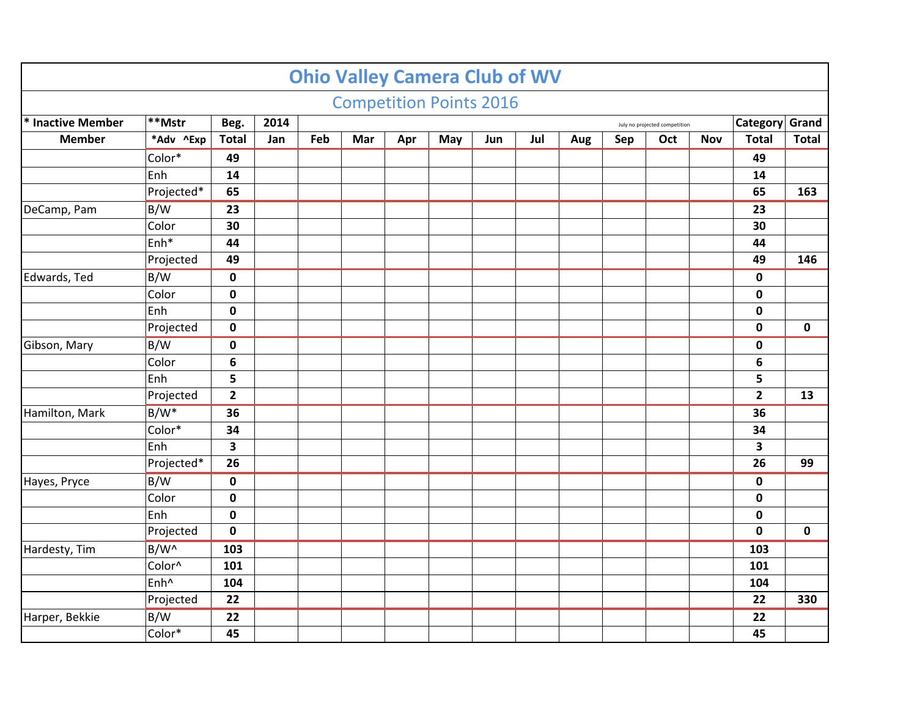|                   |                  |                |      |     | <b>Competition Points 2016</b> |     |     |     |     |     |     |                               |            |                         |                                                                  |
|-------------------|------------------|----------------|------|-----|--------------------------------|-----|-----|-----|-----|-----|-----|-------------------------------|------------|-------------------------|------------------------------------------------------------------|
| * Inactive Member | $ **$ Mstr       | Beg.           | 2014 |     |                                |     |     |     |     |     |     | July no projected competition |            |                         |                                                                  |
| <b>Member</b>     | *Adv ^Exp        | <b>Total</b>   | Jan  | Feb | Mar                            | Apr | May | Jun | Jul | Aug | Sep | Oct                           | <b>Nov</b> | <b>Total</b>            |                                                                  |
|                   | Color*           | 49             |      |     |                                |     |     |     |     |     |     |                               |            | 49                      |                                                                  |
|                   | Enh              | 14             |      |     |                                |     |     |     |     |     |     |                               |            | 14                      |                                                                  |
|                   | Projected*       | 65             |      |     |                                |     |     |     |     |     |     |                               |            | 65                      | 163                                                              |
| DeCamp, Pam       | B/W              | 23             |      |     |                                |     |     |     |     |     |     |                               |            | 23                      |                                                                  |
|                   | Color            | 30             |      |     |                                |     |     |     |     |     |     |                               |            | 30                      |                                                                  |
|                   | Enh*             | 44             |      |     |                                |     |     |     |     |     |     |                               |            | 44                      |                                                                  |
|                   | Projected        | 49             |      |     |                                |     |     |     |     |     |     |                               |            | 49                      | 146                                                              |
| Edwards, Ted      | B/W              | $\mathbf 0$    |      |     |                                |     |     |     |     |     |     |                               |            | $\mathbf 0$             |                                                                  |
|                   | Color            | $\pmb{0}$      |      |     |                                |     |     |     |     |     |     |                               |            | $\mathbf 0$             |                                                                  |
|                   | Enh              | $\pmb{0}$      |      |     |                                |     |     |     |     |     |     |                               |            | $\pmb{0}$               |                                                                  |
|                   | Projected        | $\mathbf 0$    |      |     |                                |     |     |     |     |     |     |                               |            | $\mathbf 0$             | $\mathbf 0$                                                      |
| Gibson, Mary      | B/W              | $\mathbf 0$    |      |     |                                |     |     |     |     |     |     |                               |            | $\mathbf 0$             | Category Grand<br><b>Total</b><br>13<br>99<br>$\mathbf 0$<br>330 |
|                   | Color            | 6              |      |     |                                |     |     |     |     |     |     |                               |            | 6                       |                                                                  |
|                   | Enh              | 5              |      |     |                                |     |     |     |     |     |     |                               |            | 5                       |                                                                  |
|                   | Projected        | $\overline{2}$ |      |     |                                |     |     |     |     |     |     |                               |            | $\overline{2}$          |                                                                  |
| Hamilton, Mark    | $B/W^*$          | 36             |      |     |                                |     |     |     |     |     |     |                               |            | 36                      |                                                                  |
|                   | Color*           | 34             |      |     |                                |     |     |     |     |     |     |                               |            | 34                      |                                                                  |
|                   | Enh              | 3              |      |     |                                |     |     |     |     |     |     |                               |            | $\overline{\mathbf{3}}$ |                                                                  |
|                   | Projected*       | 26             |      |     |                                |     |     |     |     |     |     |                               |            | 26                      |                                                                  |
| Hayes, Pryce      | B/W              | $\pmb{0}$      |      |     |                                |     |     |     |     |     |     |                               |            | $\mathbf 0$             |                                                                  |
|                   | Color            | $\mathbf 0$    |      |     |                                |     |     |     |     |     |     |                               |            | $\mathbf 0$             |                                                                  |
|                   | Enh              | $\pmb{0}$      |      |     |                                |     |     |     |     |     |     |                               |            | 0                       |                                                                  |
|                   | Projected        | $\pmb{0}$      |      |     |                                |     |     |     |     |     |     |                               |            | $\mathbf 0$             |                                                                  |
| Hardesty, Tim     | B/W <sup>^</sup> | 103            |      |     |                                |     |     |     |     |     |     |                               |            | 103                     |                                                                  |
|                   | Color^           | 101            |      |     |                                |     |     |     |     |     |     |                               |            | 101                     |                                                                  |
|                   | Enh <sup>^</sup> | 104            |      |     |                                |     |     |     |     |     |     |                               |            | 104                     |                                                                  |
|                   | Projected        | 22             |      |     |                                |     |     |     |     |     |     |                               |            | 22                      |                                                                  |
| Harper, Bekkie    | B/W              | 22             |      |     |                                |     |     |     |     |     |     |                               |            | 22                      |                                                                  |
|                   | Color*           | 45             |      |     |                                |     |     |     |     |     |     |                               |            | 45                      |                                                                  |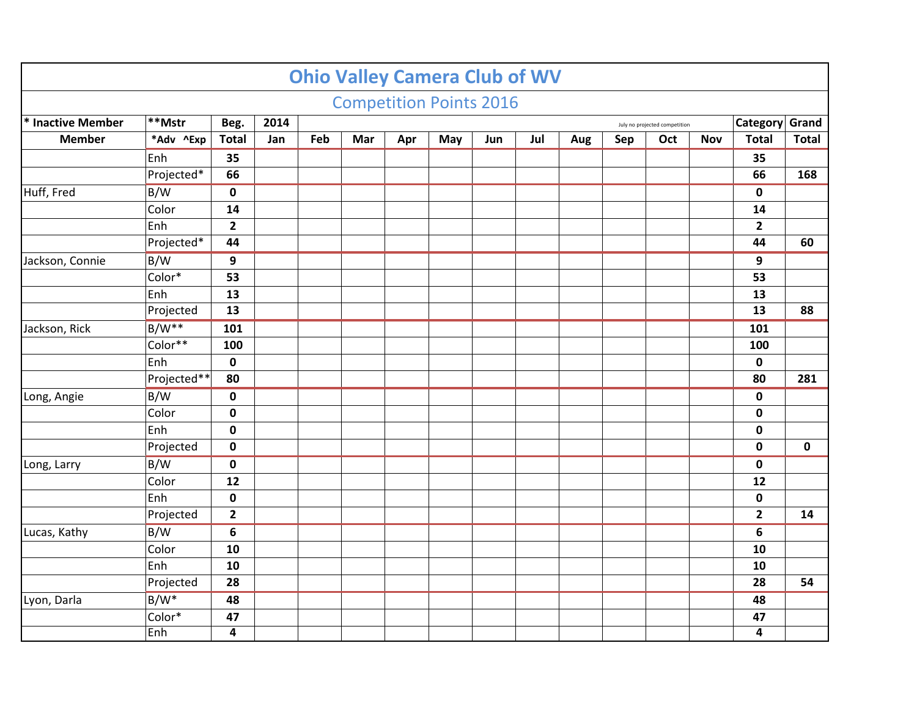|                   |                                                                   |                |      |     | <b>Competition Points 2016</b> |     |     |     |     |     |     |                               |            |                |                                |
|-------------------|-------------------------------------------------------------------|----------------|------|-----|--------------------------------|-----|-----|-----|-----|-----|-----|-------------------------------|------------|----------------|--------------------------------|
| * Inactive Member | **Mstr                                                            | Beg.           | 2014 |     |                                |     |     |     |     |     |     | July no projected competition |            | Category Grand |                                |
| <b>Member</b>     | *Adv ^Exp                                                         | <b>Total</b>   | Jan  | Feb | Mar                            | Apr | May | Jun | Jul | Aug | Sep | Oct                           | <b>Nov</b> | <b>Total</b>   | <b>Total</b>                   |
|                   | Enh                                                               | 35             |      |     |                                |     |     |     |     |     |     |                               |            | 35             |                                |
|                   | Projected*                                                        | 66             |      |     |                                |     |     |     |     |     |     |                               |            | 66             | 168                            |
| Huff, Fred        | B/W                                                               | $\mathbf 0$    |      |     |                                |     |     |     |     |     |     |                               |            | $\mathbf 0$    |                                |
|                   | Color                                                             | 14             |      |     |                                |     |     |     |     |     |     |                               |            | 14             |                                |
|                   | Enh                                                               | $\overline{2}$ |      |     |                                |     |     |     |     |     |     |                               |            | $\mathbf{2}$   |                                |
|                   | Projected*                                                        | 44             |      |     |                                |     |     |     |     |     |     |                               |            | 44             | 60                             |
| Jackson, Connie   | B/W                                                               | 9              |      |     |                                |     |     |     |     |     |     |                               |            | 9              |                                |
|                   | Color*                                                            | 53             |      |     |                                |     |     |     |     |     |     |                               |            | 53             |                                |
|                   | Enh<br>13<br>13<br>Projected<br>13<br>13<br>$B/W**$<br>101<br>101 |                |      |     |                                |     |     |     |     |     |     |                               |            |                |                                |
|                   |                                                                   |                |      |     |                                |     |     |     |     |     |     |                               |            |                | 88                             |
| Jackson, Rick     |                                                                   |                |      |     |                                |     |     |     |     |     |     |                               |            |                | 281<br>$\mathbf 0$<br>14<br>54 |
|                   | Color**                                                           | 100            |      |     |                                |     |     |     |     |     |     |                               |            | 100            |                                |
|                   | Enh                                                               | $\mathbf 0$    |      |     |                                |     |     |     |     |     |     |                               |            | $\mathbf 0$    |                                |
|                   | Projected**                                                       | 80             |      |     |                                |     |     |     |     |     |     |                               |            | 80             |                                |
| Long, Angie       | B/W                                                               | $\mathbf 0$    |      |     |                                |     |     |     |     |     |     |                               |            | 0              |                                |
|                   | Color                                                             | $\pmb{0}$      |      |     |                                |     |     |     |     |     |     |                               |            | $\mathbf 0$    |                                |
|                   | Enh                                                               | $\mathbf 0$    |      |     |                                |     |     |     |     |     |     |                               |            | $\mathbf 0$    |                                |
|                   | Projected                                                         | $\mathbf 0$    |      |     |                                |     |     |     |     |     |     |                               |            | $\mathbf 0$    |                                |
| Long, Larry       | B/W                                                               | $\pmb{0}$      |      |     |                                |     |     |     |     |     |     |                               |            | $\pmb{0}$      |                                |
|                   | Color                                                             | 12             |      |     |                                |     |     |     |     |     |     |                               |            | 12             |                                |
|                   | Enh                                                               | $\pmb{0}$      |      |     |                                |     |     |     |     |     |     |                               |            | $\pmb{0}$      |                                |
|                   | Projected                                                         | $\mathbf{2}$   |      |     |                                |     |     |     |     |     |     |                               |            | $\mathbf{2}$   |                                |
| Lucas, Kathy      | B/W                                                               | 6              |      |     |                                |     |     |     |     |     |     |                               |            | 6              |                                |
|                   | Color                                                             | 10             |      |     |                                |     |     |     |     |     |     |                               |            | 10             |                                |
|                   | Enh                                                               | 10             |      |     |                                |     |     |     |     |     |     |                               |            | 10             |                                |
|                   | Projected                                                         | 28             |      |     |                                |     |     |     |     |     |     |                               |            | 28             |                                |
| Lyon, Darla       | $B/W^*$                                                           | 48             |      |     |                                |     |     |     |     |     |     |                               |            | 48             |                                |
|                   | Color*                                                            | 47             |      |     |                                |     |     |     |     |     |     |                               |            | 47             |                                |
|                   | Enh                                                               | 4              |      |     |                                |     |     |     |     |     |     |                               |            | 4              |                                |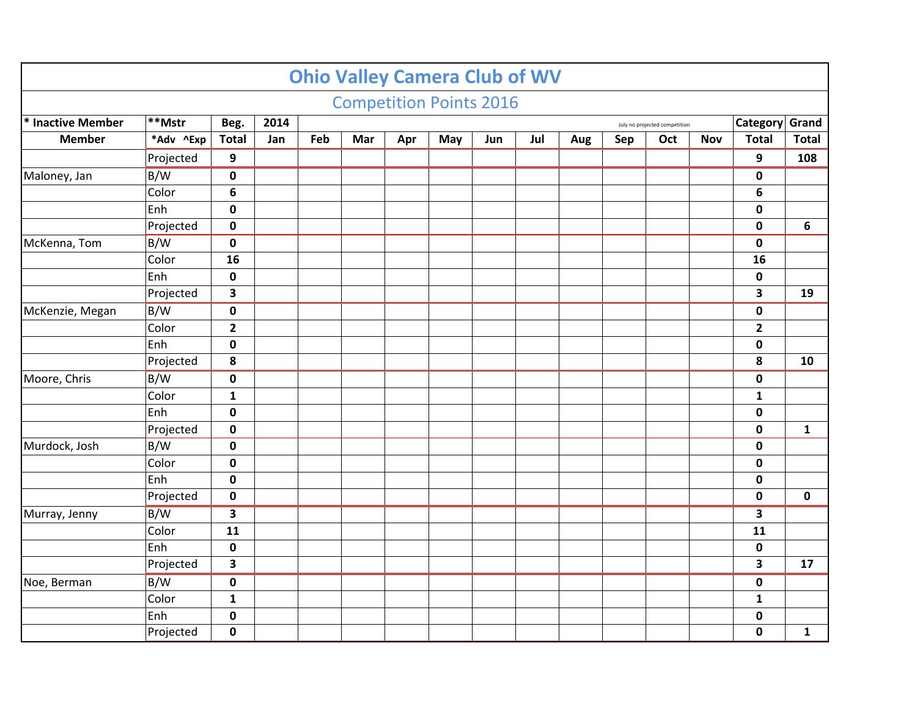|                   |           |                         |      |     | <b>Competition Points 2016</b> |     |     |     |     |     |     |                               |            |                         |                                                                     |
|-------------------|-----------|-------------------------|------|-----|--------------------------------|-----|-----|-----|-----|-----|-----|-------------------------------|------------|-------------------------|---------------------------------------------------------------------|
|                   |           |                         |      |     |                                |     |     |     |     |     |     |                               |            |                         |                                                                     |
| * Inactive Member | **Mstr    | Beg.                    | 2014 |     |                                |     |     |     |     |     |     | July no projected competition |            | Category Grand          |                                                                     |
| <b>Member</b>     | *Adv ^Exp | <b>Total</b>            | Jan  | Feb | Mar                            | Apr | May | Jun | Jul | Aug | Sep | Oct                           | <b>Nov</b> | <b>Total</b>            |                                                                     |
|                   | Projected | 9                       |      |     |                                |     |     |     |     |     |     |                               |            | 9                       |                                                                     |
| Maloney, Jan      | B/W       | $\pmb{0}$               |      |     |                                |     |     |     |     |     |     |                               |            | $\pmb{0}$               | <b>Total</b><br>108<br>6<br>19<br>10<br>$\mathbf{1}$<br>$\mathbf 0$ |
|                   | Color     | 6                       |      |     |                                |     |     |     |     |     |     |                               |            | 6                       |                                                                     |
|                   | Enh       | $\pmb{0}$               |      |     |                                |     |     |     |     |     |     |                               |            | $\mathbf 0$             |                                                                     |
|                   | Projected | $\pmb{0}$               |      |     |                                |     |     |     |     |     |     |                               |            | $\mathbf 0$             |                                                                     |
| McKenna, Tom      | B/W       | $\pmb{0}$               |      |     |                                |     |     |     |     |     |     |                               |            | $\pmb{0}$               |                                                                     |
|                   | Color     | 16                      |      |     |                                |     |     |     |     |     |     |                               |            | 16                      |                                                                     |
|                   | Enh       | $\pmb{0}$               |      |     |                                |     |     |     |     |     |     |                               |            | $\pmb{0}$               |                                                                     |
|                   | Projected | $\overline{\mathbf{3}}$ |      |     |                                |     |     |     |     |     |     |                               |            | 3                       |                                                                     |
| McKenzie, Megan   | B/W       | $\pmb{0}$               |      |     |                                |     |     |     |     |     |     |                               |            | $\mathbf 0$             | 17                                                                  |
|                   | Color     | $\mathbf{2}$            |      |     |                                |     |     |     |     |     |     |                               |            | $\overline{2}$          |                                                                     |
|                   | Enh       | $\mathbf 0$             |      |     |                                |     |     |     |     |     |     |                               |            | $\mathbf 0$             |                                                                     |
|                   | Projected | 8                       |      |     |                                |     |     |     |     |     |     |                               |            | 8                       |                                                                     |
| Moore, Chris      | B/W       | $\pmb{0}$               |      |     |                                |     |     |     |     |     |     |                               |            | $\pmb{0}$               |                                                                     |
|                   | Color     | $\mathbf{1}$            |      |     |                                |     |     |     |     |     |     |                               |            | $\mathbf{1}$            |                                                                     |
|                   | Enh       | $\pmb{0}$               |      |     |                                |     |     |     |     |     |     |                               |            | $\mathbf 0$             |                                                                     |
|                   | Projected | $\pmb{0}$               |      |     |                                |     |     |     |     |     |     |                               |            | $\mathbf 0$             |                                                                     |
| Murdock, Josh     | B/W       | $\pmb{0}$               |      |     |                                |     |     |     |     |     |     |                               |            | $\mathbf 0$             |                                                                     |
|                   | Color     | $\pmb{0}$               |      |     |                                |     |     |     |     |     |     |                               |            | $\pmb{0}$               |                                                                     |
|                   | Enh       | $\pmb{0}$               |      |     |                                |     |     |     |     |     |     |                               |            | $\mathbf 0$             |                                                                     |
|                   | Projected | $\pmb{0}$               |      |     |                                |     |     |     |     |     |     |                               |            | $\pmb{0}$               |                                                                     |
| Murray, Jenny     | B/W       | $\overline{\mathbf{3}}$ |      |     |                                |     |     |     |     |     |     |                               |            | $\overline{\mathbf{3}}$ |                                                                     |
|                   | Color     | 11                      |      |     |                                |     |     |     |     |     |     |                               |            | 11                      |                                                                     |
|                   | Enh       | $\mathbf 0$             |      |     |                                |     |     |     |     |     |     |                               |            | $\mathbf 0$             |                                                                     |
|                   | Projected | 3                       |      |     |                                |     |     |     |     |     |     |                               |            | $\overline{\mathbf{3}}$ |                                                                     |
| Noe, Berman       | B/W       | $\pmb{0}$               |      |     |                                |     |     |     |     |     |     |                               |            | $\mathbf 0$             |                                                                     |
|                   | Color     | $\mathbf{1}$            |      |     |                                |     |     |     |     |     |     |                               |            | $\mathbf{1}$            |                                                                     |
|                   | Enh       | $\mathbf 0$             |      |     |                                |     |     |     |     |     |     |                               |            | $\pmb{0}$               |                                                                     |
|                   | Projected | $\pmb{0}$               |      |     |                                |     |     |     |     |     |     |                               |            | $\mathbf 0$             | $\mathbf{1}$                                                        |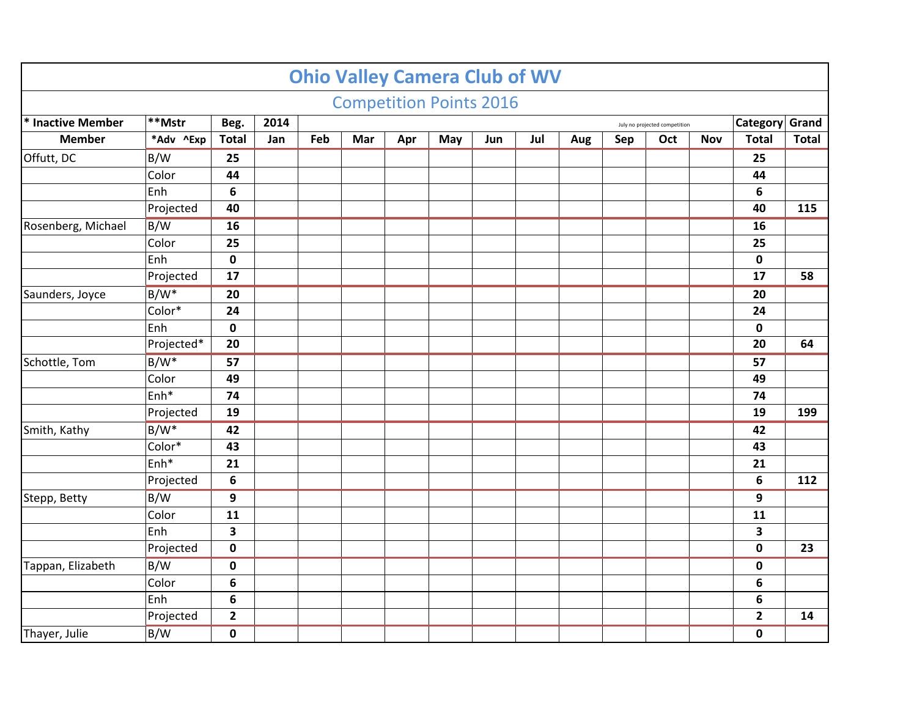|                    |            |                         |             |     |     |     | <b>Competition Points 2016</b> |     |     |     |     |                               |            |                |                  |
|--------------------|------------|-------------------------|-------------|-----|-----|-----|--------------------------------|-----|-----|-----|-----|-------------------------------|------------|----------------|------------------|
| * Inactive Member  | $ **$ Mstr | Beg.                    | 2014        |     |     |     |                                |     |     |     |     | July no projected competition |            | Category Grand |                  |
| <b>Member</b>      | *Adv ^Exp  | <b>Total</b>            | Jan         | Feb | Mar | Apr | May                            | Jun | Jul | Aug | Sep | Oct                           | <b>Nov</b> | <b>Total</b>   | <b>Total</b>     |
| Offutt, DC         | B/W        | 25                      |             |     |     |     |                                |     |     |     |     |                               |            | 25             |                  |
|                    | Color      | 44                      |             |     |     |     |                                |     |     |     |     |                               |            | 44             |                  |
|                    | Enh        | 6                       |             |     |     |     |                                |     |     |     |     |                               |            | 6              |                  |
|                    | Projected  | 40                      |             |     |     |     |                                |     |     |     |     |                               |            | 40             | 115              |
| Rosenberg, Michael | B/W        | 16                      |             |     |     |     |                                |     |     |     |     |                               |            | 16             |                  |
|                    | Color      | 25                      |             |     |     |     |                                |     |     |     |     |                               |            | 25             |                  |
|                    | Enh        | $\pmb{0}$               |             |     |     |     |                                |     |     |     |     |                               |            | $\mathbf 0$    |                  |
|                    | Projected  | 17                      |             |     |     |     |                                |     |     |     |     |                               |            | 17             | 58               |
| Saunders, Joyce    | $B/W^*$    | 20                      |             |     |     |     |                                |     |     |     |     |                               |            | 20             |                  |
|                    | Color*     | 24                      |             |     |     |     |                                |     |     |     |     |                               |            | 24             |                  |
|                    | Enh        | $\mathbf 0$             | $\mathbf 0$ |     |     |     |                                |     |     |     |     |                               |            |                |                  |
|                    | Projected* | 20                      |             |     |     |     |                                |     |     |     |     |                               |            | 20             | 64               |
| Schottle, Tom      | $B/W^*$    | 57                      |             |     |     |     |                                |     |     |     |     |                               |            | 57             | 199<br>112<br>23 |
|                    | Color      | 49                      |             |     |     |     |                                |     |     |     |     |                               |            | 49             |                  |
|                    | Enh*       | 74                      |             |     |     |     |                                |     |     |     |     |                               |            | 74             |                  |
|                    | Projected  | 19                      |             |     |     |     |                                |     |     |     |     |                               |            | 19             |                  |
| Smith, Kathy       | $B/W^*$    | 42                      |             |     |     |     |                                |     |     |     |     |                               |            | 42             |                  |
|                    | Color*     | 43                      |             |     |     |     |                                |     |     |     |     |                               |            | 43             |                  |
|                    | Enh*       | 21                      |             |     |     |     |                                |     |     |     |     |                               |            | 21             |                  |
|                    | Projected  | 6                       |             |     |     |     |                                |     |     |     |     |                               |            | 6              |                  |
| Stepp, Betty       | B/W        | 9                       |             |     |     |     |                                |     |     |     |     |                               |            | 9              |                  |
|                    | Color      | 11                      |             |     |     |     |                                |     |     |     |     |                               |            | 11             |                  |
|                    | Enh        | $\overline{\mathbf{3}}$ |             |     |     |     |                                |     |     |     |     |                               |            | 3              |                  |
|                    | Projected  | $\mathbf 0$             |             |     |     |     |                                |     |     |     |     |                               |            | $\mathbf 0$    |                  |
| Tappan, Elizabeth  | B/W        | $\pmb{0}$               |             |     |     |     |                                |     |     |     |     |                               |            | $\mathbf 0$    |                  |
|                    | Color      | 6                       |             |     |     |     |                                |     |     |     |     |                               |            | 6              |                  |
|                    | Enh        | 6                       |             |     |     |     |                                |     |     |     |     |                               |            | 6              |                  |
|                    | Projected  | $\overline{2}$          |             |     |     |     |                                |     |     |     |     |                               |            | $\overline{2}$ | 14               |
| Thayer, Julie      | B/W        | $\mathbf 0$             |             |     |     |     |                                |     |     |     |     |                               |            | $\mathbf 0$    |                  |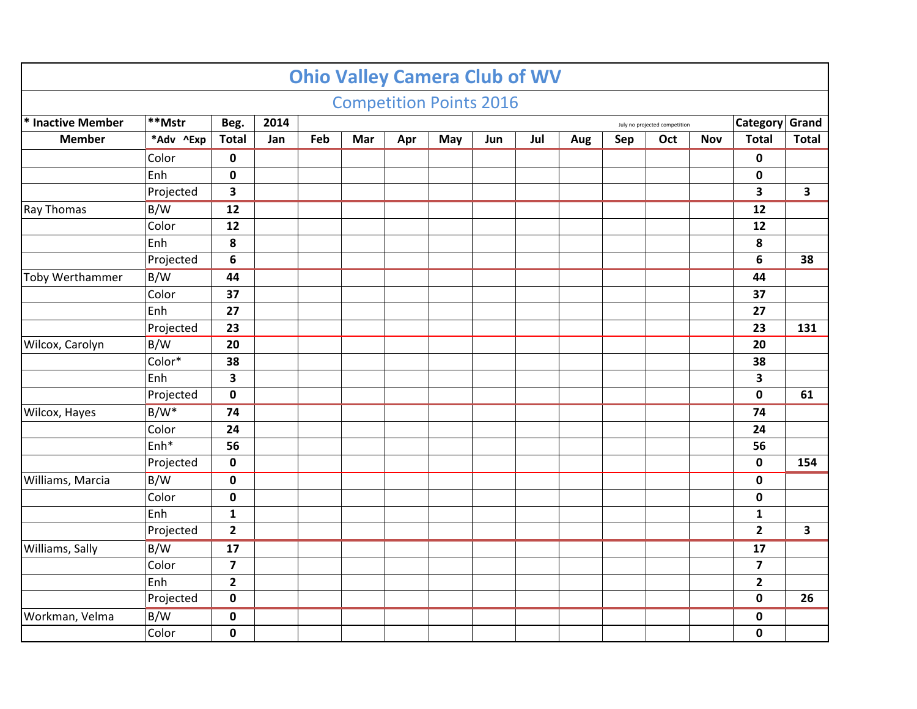|                        |                  |                         |      |     | <b>Competition Points 2016</b> |     |     |     |     |     |     |                               |            |                         |                                                                                              |
|------------------------|------------------|-------------------------|------|-----|--------------------------------|-----|-----|-----|-----|-----|-----|-------------------------------|------------|-------------------------|----------------------------------------------------------------------------------------------|
|                        |                  |                         |      |     |                                |     |     |     |     |     |     |                               |            |                         |                                                                                              |
| * Inactive Member      | $ **$ Mstr       | Beg.                    | 2014 |     |                                |     |     |     |     |     |     | July no projected competition |            |                         |                                                                                              |
| <b>Member</b>          | *Adv ^Exp        | <b>Total</b>            | Jan  | Feb | Mar                            | Apr | May | Jun | Jul | Aug | Sep | Oct                           | <b>Nov</b> | <b>Total</b>            |                                                                                              |
|                        | Color            | $\mathbf 0$             |      |     |                                |     |     |     |     |     |     |                               |            | $\mathbf 0$             |                                                                                              |
|                        | Enh              | $\pmb{0}$               |      |     |                                |     |     |     |     |     |     |                               |            | 0                       |                                                                                              |
|                        | Projected        | 3                       |      |     |                                |     |     |     |     |     |     |                               |            | $\overline{\mathbf{3}}$ |                                                                                              |
| Ray Thomas             | B/W              | 12                      |      |     |                                |     |     |     |     |     |     |                               |            | 12                      |                                                                                              |
|                        | Color            | 12                      |      |     |                                |     |     |     |     |     |     |                               |            | 12                      |                                                                                              |
|                        | Enh              | 8                       |      |     |                                |     |     |     |     |     |     |                               |            | 8                       |                                                                                              |
|                        | Projected        | 6                       |      |     |                                |     |     |     |     |     |     |                               |            | 6                       | 38                                                                                           |
| <b>Toby Werthammer</b> | B/W              | 44                      |      |     |                                |     |     |     |     |     |     |                               |            | 44                      |                                                                                              |
|                        | Color            | 37                      |      |     |                                |     |     |     |     |     |     |                               |            | 37                      |                                                                                              |
|                        | Enh              | 27                      |      |     |                                |     |     |     |     |     |     |                               |            | 27                      |                                                                                              |
|                        | Projected        | 23                      |      |     |                                |     |     |     |     |     |     |                               |            | 23                      | 131                                                                                          |
| Wilcox, Carolyn        | B/W              | 20                      |      |     |                                |     |     |     |     |     |     |                               |            | 20                      | Category Grand<br><b>Total</b><br>$\mathbf{3}$<br>61<br>154<br>$\overline{\mathbf{3}}$<br>26 |
|                        | Color*           | 38                      |      |     |                                |     |     |     |     |     |     |                               |            | 38                      |                                                                                              |
|                        | Enh              | 3                       |      |     |                                |     |     |     |     |     |     |                               |            | 3                       |                                                                                              |
|                        | Projected        | $\mathbf 0$             |      |     |                                |     |     |     |     |     |     |                               |            | $\mathbf 0$             |                                                                                              |
| Wilcox, Hayes          | B/W <sup>*</sup> | 74                      |      |     |                                |     |     |     |     |     |     |                               |            | 74                      |                                                                                              |
|                        | Color            | 24                      |      |     |                                |     |     |     |     |     |     |                               |            | 24                      |                                                                                              |
|                        | Enh*             | 56                      |      |     |                                |     |     |     |     |     |     |                               |            | 56                      |                                                                                              |
|                        | Projected        | $\mathbf 0$             |      |     |                                |     |     |     |     |     |     |                               |            | $\mathbf 0$             |                                                                                              |
| Williams, Marcia       | B/W              | $\mathbf 0$             |      |     |                                |     |     |     |     |     |     |                               |            | $\mathbf 0$             |                                                                                              |
|                        | Color            | $\pmb{0}$               |      |     |                                |     |     |     |     |     |     |                               |            | $\mathbf 0$             |                                                                                              |
|                        | Enh              | $\mathbf{1}$            |      |     |                                |     |     |     |     |     |     |                               |            | $\mathbf{1}$            |                                                                                              |
|                        | Projected        | $\mathbf{2}$            |      |     |                                |     |     |     |     |     |     |                               |            | $\overline{2}$          |                                                                                              |
| Williams, Sally        | B/W              | 17                      |      |     |                                |     |     |     |     |     |     |                               |            | 17                      |                                                                                              |
|                        | Color            | $\overline{\mathbf{z}}$ |      |     |                                |     |     |     |     |     |     |                               |            | $\overline{7}$          |                                                                                              |
|                        | Enh              | $\overline{2}$          |      |     |                                |     |     |     |     |     |     |                               |            | $\mathbf{2}$            |                                                                                              |
|                        | Projected        | $\mathbf 0$             |      |     |                                |     |     |     |     |     |     |                               |            | $\mathbf 0$             |                                                                                              |
| Workman, Velma         | B/W              | $\pmb{0}$               |      |     |                                |     |     |     |     |     |     |                               |            | $\pmb{0}$               |                                                                                              |
|                        | Color            | $\pmb{0}$               |      |     |                                |     |     |     |     |     |     |                               |            | $\mathbf 0$             |                                                                                              |